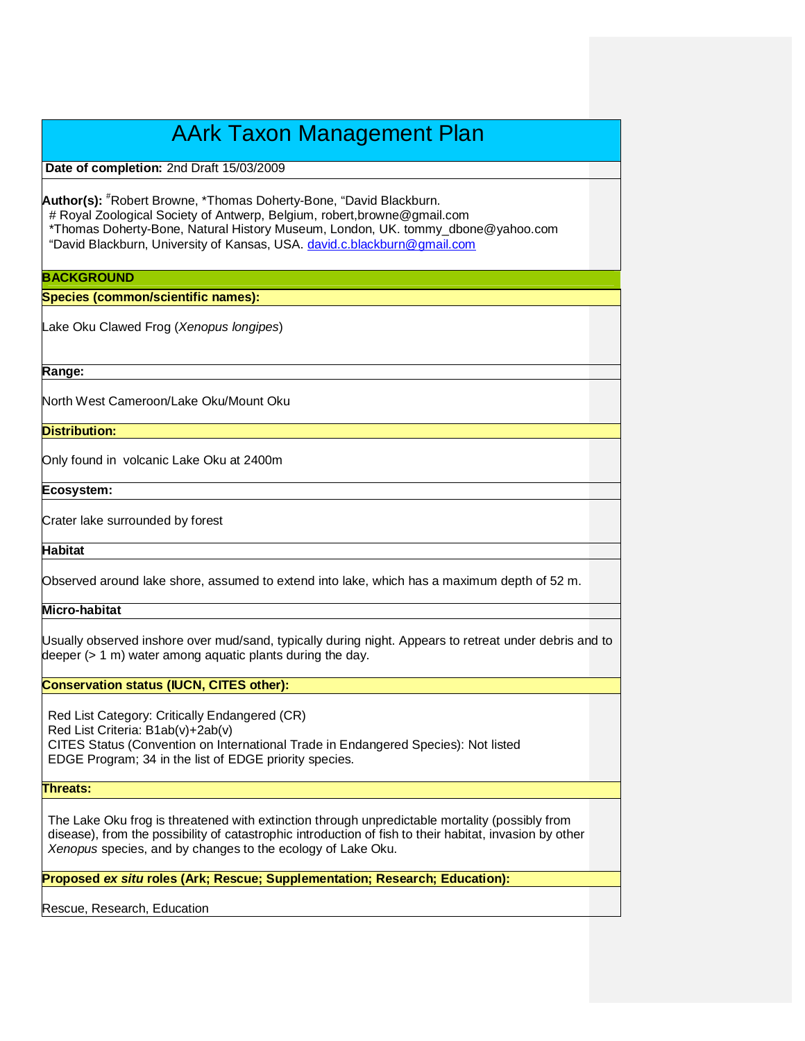# AArk Taxon Management Plan

**Date of completion:** 2nd Draft 15/03/2009

**Author(s):** #Robert Browne, \*Thomas Doherty-Bone, "David Blackburn. # Royal Zoological Society of Antwerp, Belgium, robert,browne@gmail.com \*Thomas Doherty-Bone, Natural History Museum, London, UK. tommy\_dbone@yahoo.com "David Blackburn, University of Kansas, USA. david.c.blackburn@gmail.com

# **BACKGROUND**

**Species (common/scientific names):**

Lake Oku Clawed Frog (Xenopus longipes)

**Range:** 

North West Cameroon/Lake Oku/Mount Oku

**Distribution:**

Only found in volcanic Lake Oku at 2400m

**Ecosystem:**

Crater lake surrounded by forest

**Habitat**

Observed around lake shore, assumed to extend into lake, which has a maximum depth of 52 m.

**Micro-habitat**

Usually observed inshore over mud/sand, typically during night. Appears to retreat under debris and to deeper (> 1 m) water among aquatic plants during the day.

## **Conservation status (IUCN, CITES other):**

Red List Category: Critically Endangered (CR) Red List Criteria: B1ab(v)+2ab(v) CITES Status (Convention on International Trade in Endangered Species): Not listed EDGE Program; 34 in the list of EDGE priority species.

**Threats:**

The Lake Oku frog is threatened with extinction through unpredictable mortality (possibly from disease), from the possibility of catastrophic introduction of fish to their habitat, invasion by other Xenopus species, and by changes to the ecology of Lake Oku.

**Proposed ex situ roles (Ark; Rescue; Supplementation; Research; Education):**

Rescue, Research, Education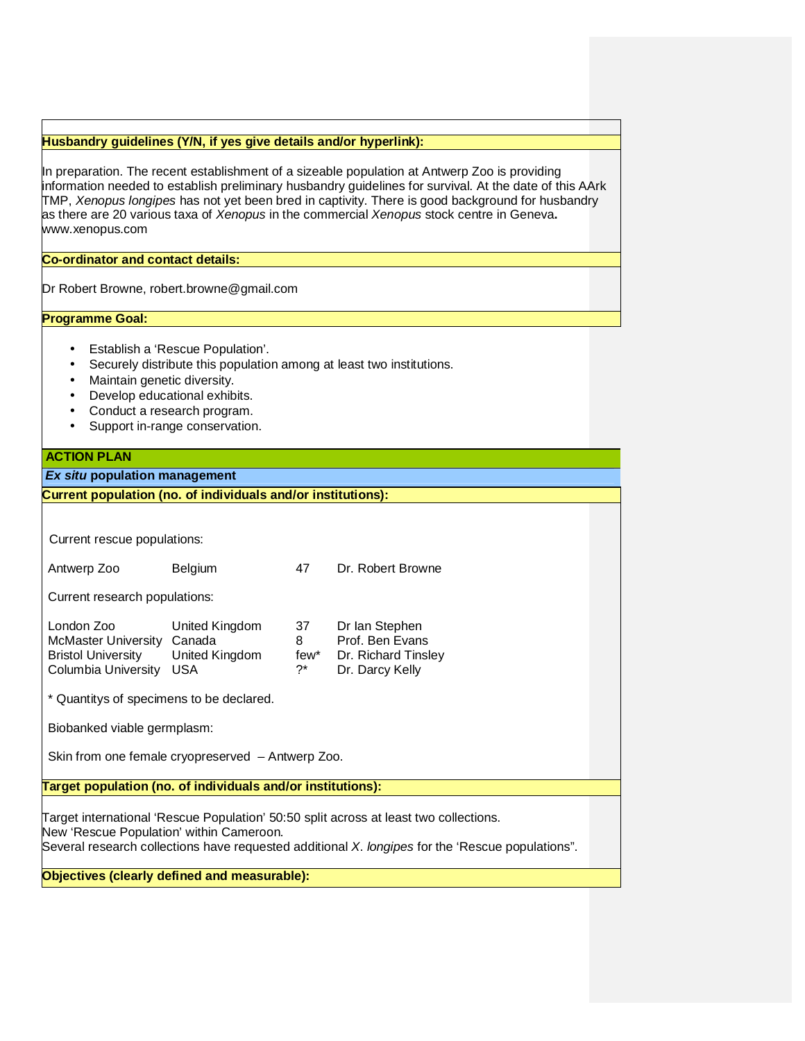# **Husbandry guidelines (Y/N, if yes give details and/or hyperlink):**

In preparation. The recent establishment of a sizeable population at Antwerp Zoo is providing information needed to establish preliminary husbandry guidelines for survival. At the date of this AArk TMP, Xenopus longipes has not yet been bred in captivity. There is good background for husbandry as there are 20 various taxa of Xenopus in the commercial Xenopus stock centre in Geneva**.** www.xenopus.com

**Co-ordinator and contact details:**

Dr Robert Browne, robert.browne@gmail.com

**Programme Goal:**

- Establish a 'Rescue Population'.
- Securely distribute this population among at least two institutions.
- Maintain genetic diversity.
- Develop educational exhibits.
- Conduct a research program.
- Support in-range conservation.

# **ACTION PLAN**

# **Ex situ population management**

**Current population (no. of individuals and/or institutions):** Current rescue populations: Antwerp Zoo Belgium 47 Dr. Robert Browne Current research populations: London Zoo United Kingdom 37 Dr Ian Stephen McMaster University Canada Brown B Bristol University United Kingdom few\* Dr. Richard Tinsley Columbia University USA ?\* Dr. Darcy Kelly \* Quantitys of specimens to be declared. Biobanked viable germplasm: Skin from one female cryopreserved – Antwerp Zoo. **Target population (no. of individuals and/or institutions):** Target international 'Rescue Population' 50:50 split across at least two collections. New 'Rescue Population' within Cameroon. Several research collections have requested additional X. longipes for the 'Rescue populations".

**Objectives (clearly defined and measurable):**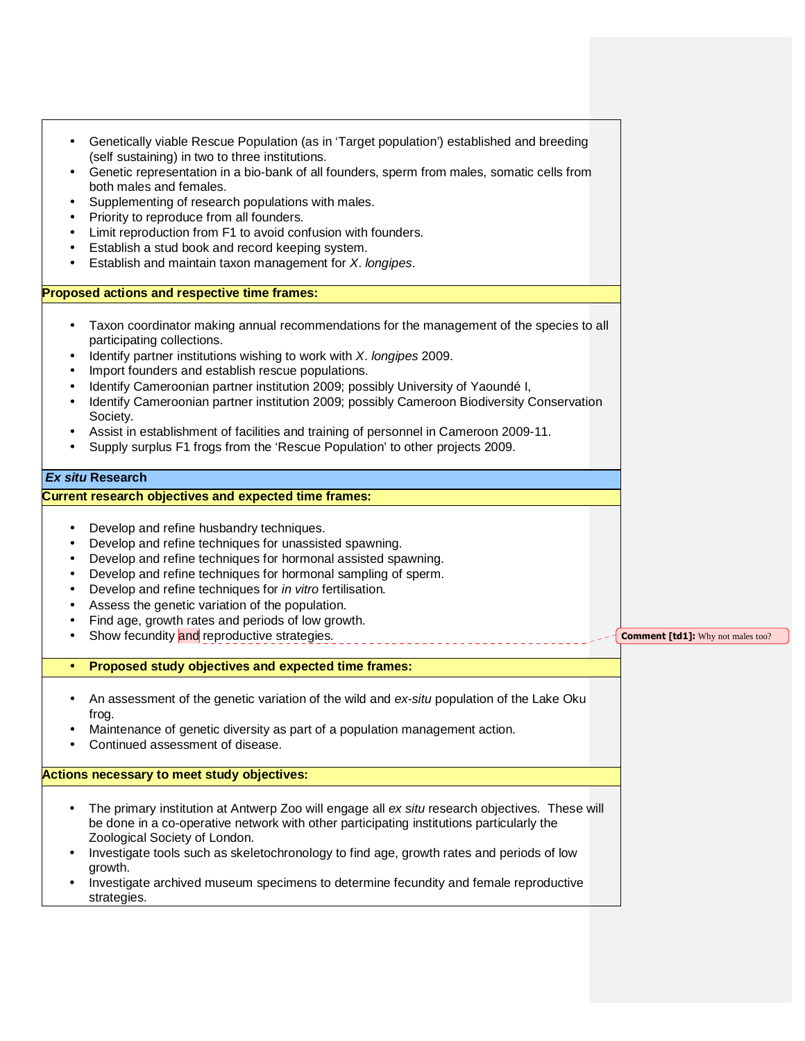| ٠                   | Genetically viable Rescue Population (as in 'Target population') established and breeding<br>(self sustaining) in two to three institutions.<br>Genetic representation in a bio-bank of all founders, sperm from males, somatic cells from<br>both males and females.<br>Supplementing of research populations with males.<br>Priority to reproduce from all founders.<br>Limit reproduction from F1 to avoid confusion with founders.<br>Establish a stud book and record keeping system.<br>Establish and maintain taxon management for X. longipes.                                                                    |  |                                          |
|---------------------|---------------------------------------------------------------------------------------------------------------------------------------------------------------------------------------------------------------------------------------------------------------------------------------------------------------------------------------------------------------------------------------------------------------------------------------------------------------------------------------------------------------------------------------------------------------------------------------------------------------------------|--|------------------------------------------|
|                     | Proposed actions and respective time frames:                                                                                                                                                                                                                                                                                                                                                                                                                                                                                                                                                                              |  |                                          |
| ٠                   | Taxon coordinator making annual recommendations for the management of the species to all<br>participating collections.<br>Identify partner institutions wishing to work with X. longipes 2009.<br>Import founders and establish rescue populations.<br>Identify Cameroonian partner institution 2009; possibly University of Yaoundé I,<br>Identify Cameroonian partner institution 2009; possibly Cameroon Biodiversity Conservation<br>Society.<br>Assist in establishment of facilities and training of personnel in Cameroon 2009-11.<br>Supply surplus F1 frogs from the 'Rescue Population' to other projects 2009. |  |                                          |
|                     | <b>Ex situ Research</b>                                                                                                                                                                                                                                                                                                                                                                                                                                                                                                                                                                                                   |  |                                          |
|                     | <b>Current research objectives and expected time frames:</b>                                                                                                                                                                                                                                                                                                                                                                                                                                                                                                                                                              |  |                                          |
| $\bullet$<br>٠<br>٠ | Develop and refine husbandry techniques.<br>Develop and refine techniques for unassisted spawning.<br>Develop and refine techniques for hormonal assisted spawning.<br>Develop and refine techniques for hormonal sampling of sperm.<br>Develop and refine techniques for in vitro fertilisation.<br>Assess the genetic variation of the population.<br>Find age, growth rates and periods of low growth.<br>Show fecundity and reproductive strategies.                                                                                                                                                                  |  | <b>Comment [td1]:</b> Why not males too? |
|                     | Proposed study objectives and expected time frames:                                                                                                                                                                                                                                                                                                                                                                                                                                                                                                                                                                       |  |                                          |
|                     | An assessment of the genetic variation of the wild and ex-situ population of the Lake Oku<br>frog.<br>Maintenance of genetic diversity as part of a population management action.<br>Continued assessment of disease.                                                                                                                                                                                                                                                                                                                                                                                                     |  |                                          |
|                     | Actions necessary to meet study objectives:                                                                                                                                                                                                                                                                                                                                                                                                                                                                                                                                                                               |  |                                          |
|                     | The primary institution at Antwerp Zoo will engage all ex situ research objectives. These will<br>be done in a co-operative network with other participating institutions particularly the<br>Zoological Society of London.<br>Investigate tools such as skeletochronology to find age, growth rates and periods of low<br>growth.<br>Investigate archived museum specimens to determine fecundity and female reproductive<br>strategies.                                                                                                                                                                                 |  |                                          |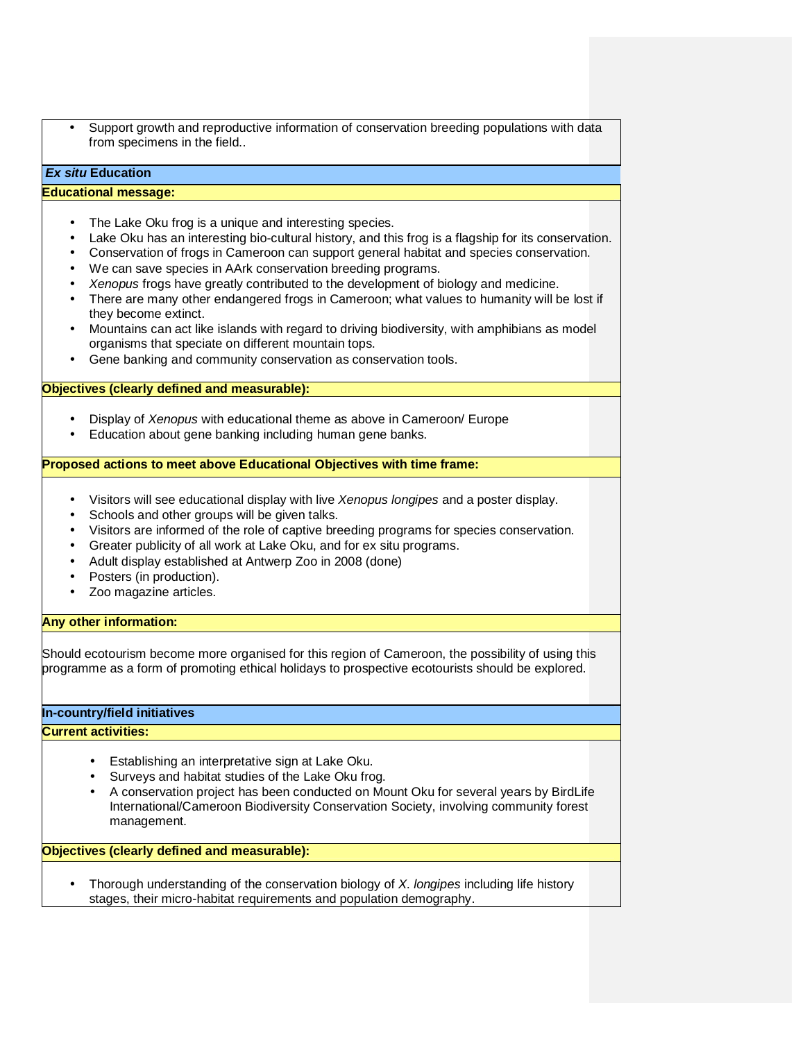• Support growth and reproductive information of conservation breeding populations with data from specimens in the field..

# **Ex situ Education**

### **Educational message:**

- The Lake Oku frog is a unique and interesting species.
- Lake Oku has an interesting bio-cultural history, and this frog is a flagship for its conservation.
- Conservation of frogs in Cameroon can support general habitat and species conservation.
- We can save species in AArk conservation breeding programs.
- Xenopus frogs have greatly contributed to the development of biology and medicine.
- There are many other endangered frogs in Cameroon; what values to humanity will be lost if they become extinct.
- Mountains can act like islands with regard to driving biodiversity, with amphibians as model organisms that speciate on different mountain tops.
- Gene banking and community conservation as conservation tools.

## **Objectives (clearly defined and measurable):**

- Display of Xenopus with educational theme as above in Cameroon/ Europe
- Education about gene banking including human gene banks.

## **Proposed actions to meet above Educational Objectives with time frame:**

- Visitors will see educational display with live Xenopus longipes and a poster display.
- Schools and other groups will be given talks.
- Visitors are informed of the role of captive breeding programs for species conservation.
- Greater publicity of all work at Lake Oku, and for ex situ programs.
- Adult display established at Antwerp Zoo in 2008 (done)
- Posters (in production).
- Zoo magazine articles.

## **Any other information:**

Should ecotourism become more organised for this region of Cameroon, the possibility of using this programme as a form of promoting ethical holidays to prospective ecotourists should be explored.

# **In-country/field initiatives**

### **Current activities:**

- Establishing an interpretative sign at Lake Oku.
- Surveys and habitat studies of the Lake Oku frog.
- A conservation project has been conducted on Mount Oku for several years by BirdLife International/Cameroon Biodiversity Conservation Society, involving community forest management.

**Objectives (clearly defined and measurable):**

Thorough understanding of the conservation biology of X. longipes including life history stages, their micro-habitat requirements and population demography.